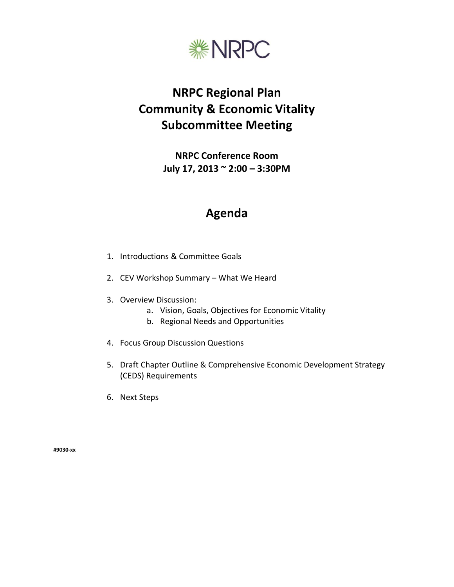

# **NRPC Regional Plan Community & Economic Vitality Subcommittee Meeting**

**NRPC Conference Room July 17, 2013 ~ 2:00 – 3:30PM**

## **Agenda**

- 1. Introductions & Committee Goals
- 2. CEV Workshop Summary What We Heard
- 3. Overview Discussion:
	- a. Vision, Goals, Objectives for Economic Vitality
	- b. Regional Needs and Opportunities
- 4. Focus Group Discussion Questions
- 5. Draft Chapter Outline & Comprehensive Economic Development Strategy (CEDS) Requirements
- 6. Next Steps

**#9030-xx**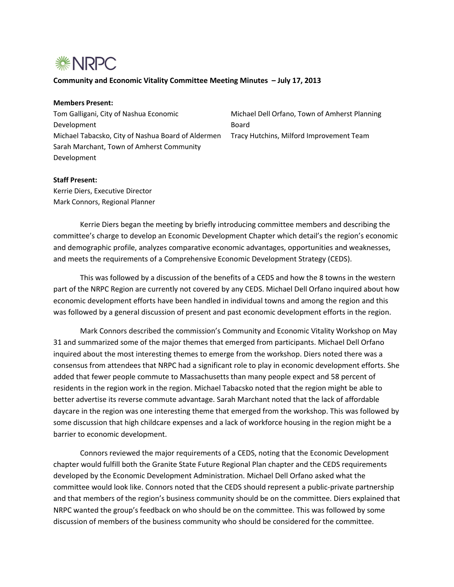

#### **Community and Economic Vitality Committee Meeting Minutes – July 17, 2013**

### **Members Present:**

Tom Galligani, City of Nashua Economic Development Michael Tabacsko, City of Nashua Board of Aldermen Sarah Marchant, Town of Amherst Community Development

Michael Dell Orfano, Town of Amherst Planning Board Tracy Hutchins, Milford Improvement Team

#### **Staff Present:**

Kerrie Diers, Executive Director Mark Connors, Regional Planner

Kerrie Diers began the meeting by briefly introducing committee members and describing the committee's charge to develop an Economic Development Chapter which detail's the region's economic and demographic profile, analyzes comparative economic advantages, opportunities and weaknesses, and meets the requirements of a Comprehensive Economic Development Strategy (CEDS).

This was followed by a discussion of the benefits of a CEDS and how the 8 towns in the western part of the NRPC Region are currently not covered by any CEDS. Michael Dell Orfano inquired about how economic development efforts have been handled in individual towns and among the region and this was followed by a general discussion of present and past economic development efforts in the region.

Mark Connors described the commission's Community and Economic Vitality Workshop on May 31 and summarized some of the major themes that emerged from participants. Michael Dell Orfano inquired about the most interesting themes to emerge from the workshop. Diers noted there was a consensus from attendees that NRPC had a significant role to play in economic development efforts. She added that fewer people commute to Massachusetts than many people expect and 58 percent of residents in the region work in the region. Michael Tabacsko noted that the region might be able to better advertise its reverse commute advantage. Sarah Marchant noted that the lack of affordable daycare in the region was one interesting theme that emerged from the workshop. This was followed by some discussion that high childcare expenses and a lack of workforce housing in the region might be a barrier to economic development.

Connors reviewed the major requirements of a CEDS, noting that the Economic Development chapter would fulfill both the Granite State Future Regional Plan chapter and the CEDS requirements developed by the Economic Development Administration. Michael Dell Orfano asked what the committee would look like. Connors noted that the CEDS should represent a public-private partnership and that members of the region's business community should be on the committee. Diers explained that NRPC wanted the group's feedback on who should be on the committee. This was followed by some discussion of members of the business community who should be considered for the committee.